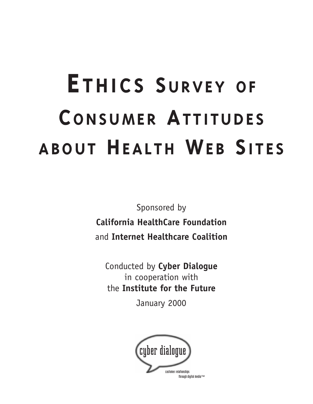# **E THICS SURVEY OF CONSUMER ATTITUDES ABOUT HEALTH WEB SITES**

Sponsored by **California HealthCare Foundation** and **Internet Healthcare Coalition**

Conducted by **Cyber Dialogue**  in cooperation with the **Institute for the Future**

January 2000

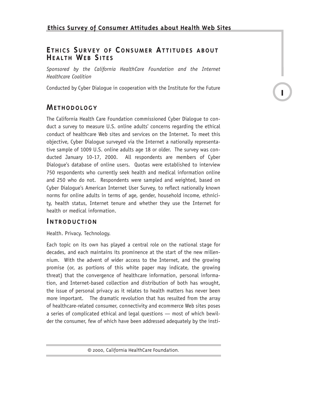# **E THICS SURVEY OF CONSUMER ATTITUDES ABOUT HEALTH WEB SITES**

*Sponsored by the California HealthCare Foundation and the Internet Healthcare Coalition*

Conducted by Cyber Dialogue in cooperation with the Institute for the Future

**1**

# **METHODOLOGY**

The California Health Care Foundation commissioned Cyber Dialogue to conduct a survey to measure U.S. online adults' concerns regarding the ethical conduct of healthcare Web sites and services on the Internet. To meet this objective, Cyber Dialogue surveyed via the Internet a nationally representative sample of 1009 U.S. online adults age 18 or older. The survey was conducted January 10-17, 2000. All respondents are members of Cyber Dialogue's database of online users. Quotas were established to interview 750 respondents who currently seek health and medical information online and 250 who do not. Respondents were sampled and weighted, based on Cyber Dialogue's American Internet User Survey, to reflect nationally known norms for online adults in terms of age, gender, household income, ethnicity, health status, Internet tenure and whether they use the Internet for health or medical information.

# **INTRODUCTION**

Health. Privacy. Technology.

Each topic on its own has played a central role on the national stage for decades, and each maintains its prominence at the start of the new millennium. With the advent of wider access to the Internet, and the growing promise (or, as portions of this white paper may indicate, the growing threat) that the convergence of healthcare information, personal information, and Internet-based collection and distribution of both has wrought, the issue of personal privacy as it relates to health matters has never been more important. The dramatic revolution that has resulted from the array of healthcare-related consumer, connectivity and ecommerce Web sites poses a series of complicated ethical and legal questions — most of which bewilder the consumer, few of which have been addressed adequately by the insti-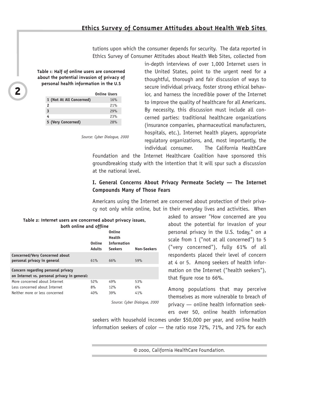# **Ethics Survey of Consumer Attitudes about Health Web Sites**

tutions upon which the consumer depends for security. The data reported in Ethics Survey of Consumer Attitudes about Health Web Sites, collected from

**Table 1: Half of online users are concerned about the potential invasion of privacy of personal health information in the U.S**

|                          | <b>Online Users</b> |
|--------------------------|---------------------|
| 1 (Not At All Concerned) | 16%                 |
| 2                        | 21%                 |
| 3                        | 29%                 |
| 4                        | 23%                 |
| 5 (Very Concerned)       | 28%                 |

*Source: Cyber Dialogue, 2000*

in-depth interviews of over 1,000 Internet users in the United States, point to the urgent need for a thoughtful, thorough and fair discussion of ways to secure individual privacy, foster strong ethical behavior, and harness the incredible power of the Internet to improve the quality of healthcare for all Americans. By necessity, this discussion must include all concerned parties: traditional healthcare organizations (insurance companies, pharmaceutical manufacturers, hospitals, etc.), Internet health players, appropriate regulatory organizations, and, most importantly, the individual consumer. The California HealthCare

Foundation and the Internet Healthcare Coalition have sponsored this groundbreaking study with the intention that it will spur such a discussion at the national level.

# **I. General Concerns About Privacy Permeate Society — The Internet Compounds Many of Those Fears**

Americans using the Internet are concerned about protection of their privacy not only while online, but in their everyday lives and activities. When

> asked to answer "How concerned are you about the potential for invasion of your personal privacy in the U.S. today," on a scale from 1 ("not at all concerned") to 5 ("very concerned"), fully 61% of all respondents placed their level of concern at 4 or 5. Among seekers of health information on the Internet ("health seekers"), that figure rose to 66%.

> Among populations that may perceive themselves as more vulnerable to breach of privacy — online health information seekers over 50, online health information

seekers with household incomes under \$50,000 per year, and online health information seekers of color — the ratio rose 72%, 71%, and 72% for each

© 2000, California HealthCare Foundation.

| Table 2: Internet users are concerned about privacy issues, |  |                         |  |  |
|-------------------------------------------------------------|--|-------------------------|--|--|
|                                                             |  | both online and offline |  |  |

|                                                                                    | Online<br><b>Adults</b> | <b>Online</b><br>Health<br><b>Information</b><br><b>Seekers</b> | Non-Seekers |
|------------------------------------------------------------------------------------|-------------------------|-----------------------------------------------------------------|-------------|
| Concerned/Very Concerned about<br>personal privacy in general                      | 61%                     | 66%                                                             | 59%         |
| Concern regarding personal privacy<br>on Internet vs. personal privacy in general: |                         |                                                                 |             |
| More concerned about Internet                                                      | 52%                     | 49%                                                             | 53%         |
| Less concerned about Internet                                                      | 8%                      | 12%                                                             | 6%          |
| Neither more or less concerned                                                     | 40%                     | 39%                                                             | 41%         |

*Source: Cyber Dialogue, 2000*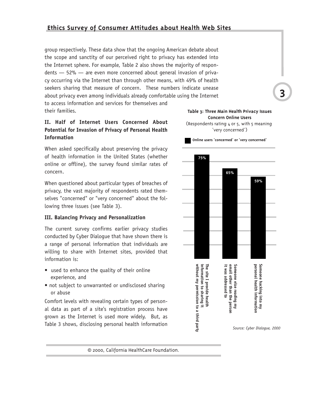# **Ethics Survey of Consumer Attitudes about Health Web Sites**

group respectively. These data show that the ongoing American debate about the scope and sanctity of our perceived right to privacy has extended into the Internet sphere. For example, Table 2 also shows the majority of respondents — 52% — are even more concerned about general invasion of privacy occurring via the Internet than through other means, with 49% of health seekers sharing that measure of concern. These numbers indicate unease about privacy even among individuals already comfortable using the Internet to access information and services for themselves and their families.

# **II. Half of Internet Users Concerned About Potential for Invasion of Privacy of Personal Health Information**

When asked specifically about preserving the privacy of health information in the United States (whether online or offline), the survey found similar rates of concern.

When questioned about particular types of breaches of privacy, the vast majority of respondents rated themselves "concerned" or "very concerned" about the following three issues (see Table 3).

## **III. Balancing Privacy and Personalization**

The current survey confirms earlier privacy studies conducted by Cyber Dialogue that have shown there is a range of personal information that individuals are willing to share with Internet sites, provided that information is:

- used to enhance the quality of their online experience, and
- not subject to unwarranted or undisclosed sharing or abuse

Comfort levels with revealing certain types of personal data as part of a site's registration process have grown as the Internet is used more widely. But, as Table 3 shows, disclosing personal health information





© 2000, California HealthCare Foundation.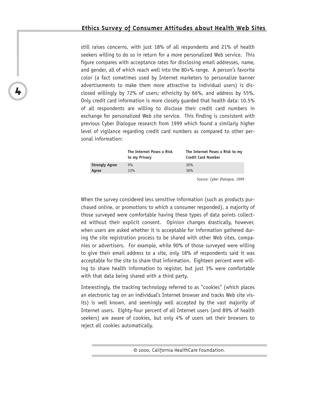still raises concerns, with just 18% of all respondents and 21% of health seekers willing to do so in return for a more personalized Web service. This figure compares with acceptance rates for disclosing email addresses, name, and gender, all of which reach well into the 80+% range. A person's favorite color (a fact sometimes used by Internet marketers to personalize banner advertisements to make them more attractive to individual users) is disclosed willingly by 72% of users; ethnicity by 66%, and address by 55%. Only credit card information is more closely guarded that health data: 10.5% of all respondents are willing to disclose their credit card numbers in exchange for personalized Web site service. This finding is consistent with previous Cyber Dialogue research from 1999 which found a similarly higher level of vigilance regarding credit card numbers as compared to other personal information:

|                       | The Internet Poses a Risk<br>to my Privacy | The Internet Poses a Risk to my<br><b>Credit Card Number</b> |
|-----------------------|--------------------------------------------|--------------------------------------------------------------|
| <b>Strongly Agree</b> | 9%                                         | 30%                                                          |
| Agree                 | 33%                                        | 38%                                                          |

*Source: Cyber Dialogue, 1999*

When the survey considered less sensitive information (such as products purchased online, or promotions to which a consumer responded), a majority of those surveyed were comfortable having these types of data points collected without their explicit consent. Opinion changes drastically, however, when users are asked whether it is acceptable for information gathered during the site registration process to be shared with other Web sites, companies or advertisers. For example, while 90% of those surveyed were willing to give their email address to a site, only 18% of respondents said it was acceptable for the site to share that information. Eighteen percent were willing to share health information to register, but just 3% were comfortable with that data being shared with a third party.

Interestingly, the tracking technology referred to as "cookies" (which places an electronic tag on an individual's Internet browser and tracks Web site visits) is well known, and seemingly well accepted by the vast majority of Internet users. Eighty-four percent of all Internet users (and 89% of health seekers) are aware of cookies, but only 4% of users set their browsers to reject all cookies automatically.

<sup>© 2000,</sup> California HealthCare Foundation.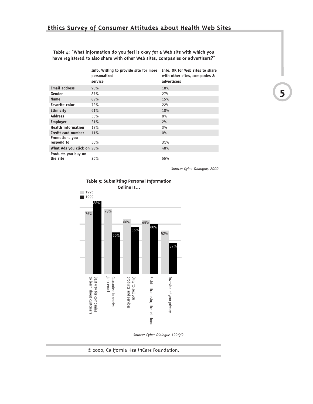**Table 4: "What information do you feel is okay for a Web site with which you have registered to also share with other Web sites, companies or advertisers?"**

|                                 | Info. Willing to provide site for more Info. OK for Web sites to share<br>personalized<br>service | with other sites, companies &<br>advertisers |
|---------------------------------|---------------------------------------------------------------------------------------------------|----------------------------------------------|
| <b>Email address</b>            | 90%                                                                                               | <b>18%</b>                                   |
| Gender                          | 87%                                                                                               | 27%                                          |
| <b>Name</b>                     | 82%                                                                                               | 15%                                          |
| <b>Favorite color</b>           | 72%                                                                                               | 22%                                          |
| <b>Ethnicity</b>                | 61%                                                                                               | <b>18%</b>                                   |
| <b>Address</b>                  | 55%                                                                                               | 8%                                           |
| <b>Employer</b>                 | 21%                                                                                               | 2%                                           |
| <b>Health information</b>       | 18%                                                                                               | 3%                                           |
| Credit card number              | 11%                                                                                               | 0%                                           |
| Promotions you<br>respond to    | 50%                                                                                               | 31%                                          |
| What Ads you click on 28%       |                                                                                                   | 48%                                          |
| Products you buy on<br>the site | 26%                                                                                               | 55%                                          |

*Source: Cyber Dialogue, 2000*





*Source: Cyber Dialogue 1996/9*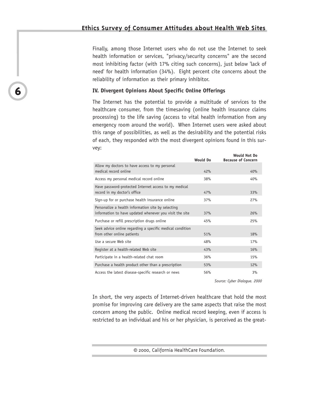Finally, among those Internet users who do not use the Internet to seek health information or services, "privacy/security concerns" are the second most inhibiting factor (with 17% citing such concerns), just below 'lack of need' for health information (34%). Eight percent cite concerns about the reliability of information as their primary inhibitor.

## **IV. Divergent Opinions About Specific Online Offerings**

**6**

The Internet has the potential to provide a multitude of services to the healthcare consumer, from the timesaving (online health insurance claims processing) to the life saving (access to vital health information from any emergency room around the world). When Internet users were asked about this range of possibilities, as well as the desirability and the potential risks of each, they responded with the most divergent opinions found in this survey:

|                                                                                                               | <b>Would Do</b> | WOULD NOT DO<br><b>Because of Concern</b> |
|---------------------------------------------------------------------------------------------------------------|-----------------|-------------------------------------------|
| Allow my doctors to have access to my personal<br>medical record online                                       | 42%             | 40%                                       |
| Access my personal medical record online                                                                      | 38%             | 40%                                       |
| Have password-protected Internet access to my medical<br>record in my doctor's office                         | 47%             | 33%                                       |
| Sign-up for or purchase health insurance online                                                               | 37%             | 27%                                       |
| Personalize a health information site by selecting<br>information to have updated whenever you visit the site | 37%             | 26%                                       |
| Purchase or refill prescription drugs online                                                                  | 45%             | 25%                                       |
| Seek advice online regarding a specific medical condition<br>from other online patients                       | 51%             | 18%                                       |
| Use a secure Web site                                                                                         | 48%             | 17%                                       |
| Register at a health-related Web site                                                                         | 43%             | 16%                                       |
| Participate in a health-related chat room                                                                     | 36%             | 15%                                       |
| Purchase a health product other than a prescription                                                           | 53%             | 12%                                       |
| Access the latest disease-specific research or news                                                           | 56%             | 3%                                        |

*Source: Cyber Dialogue. 2000*

**Would Not Do**

In short, the very aspects of Internet-driven healthcare that hold the most promise for improving care delivery are the same aspects that raise the most concern among the public. Online medical record keeping, even if access is restricted to an individual and his or her physician, is perceived as the great-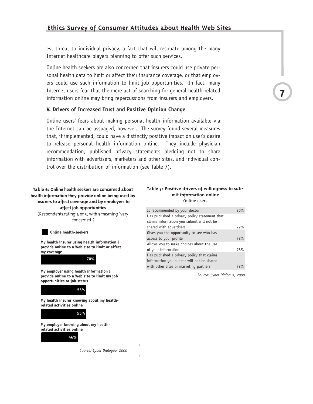est threat to individual privacy, a fact that will resonate among the many Internet healthcare players planning to offer such services.

Online health seekers are also concerned that insurers could use private personal health data to limit or affect their insurance coverage, or that employers could use such information to limit job opportunities. In fact, many Internet users fear that the mere act of searching for general health-related information online may bring repercussions from insurers and employers.

## **V. Drivers of Increased Trust and Positive Opinion Change**

Online users' fears about making personal health information available via the Internet can be assuaged, however. The survey found several measures that, if implemented, could have a distinctly positive impact on user's desire to release personal health information online. They include physician recommendation, published privacy statements pledging not to share information with advertisers, marketers and other sites, and individual control over the distribution of information (see Table 7).

**Table 6: Online health seekers are concerned about health information they provide online being used by insurers to affect coverage and by employers to affect job opportunities** (Respondents rating 4 or 5, with 5 meaning 'very concerned')

#### **Online health-seekers**

**My health insurer using health information I provide online to a Web site to limit or affect my coverage**

**70%**

**My employer using health information I provide online to a Web site to limit my job opportunities or job status**



**My health insurer knowing about my healthrelated activities online**



**My employer knowing about my healthrelated activities online 50%**



*Source: Cyber Dialogue, 2000*

ш

#### **Table 7: Positive drivers of willingness to submit information online** Online users

| Is recommended by your doctor                 | 80%        |
|-----------------------------------------------|------------|
| Has published a privacy policy statement that |            |
| claims information you submit will not be     |            |
| shared with advertisers                       | 79%        |
| Gives you the opportunity to see who has      |            |
| access to your profile                        | 78%        |
| Allows you to make choices about the use      |            |
| of your information                           | 78%        |
| Has published a privacy policy that claims    |            |
| information you submit will not be shared     |            |
| with other sites or marketing partners        | <b>78%</b> |
|                                               |            |

*Source: Cyber Dialogue, 2000*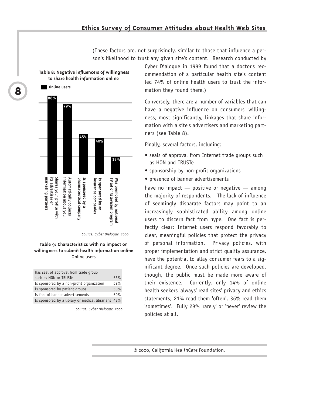(These factors are, not surprisingly, similar to those that influence a person's likelihood to trust any given site's content. Research conducted by

## **Table 8: Negative influencers of willingness to share health information online**



Source: Cyber Dialogue, 2000

## **Table 9: Characteristics with no impact on willingness to submit health information online** Online users

| Has seal of approval from trade group               |     |
|-----------------------------------------------------|-----|
| such as HON or TRUSTe                               | 53% |
| Is sponsored by a non-profit organization           | 52% |
| Is sponsored by patient groups                      | 50% |
| Is free of banner advertisements                    | 50% |
| Is sponsored by a library or medical librarians 49% |     |

Source: Cyber Dialogue, 2000

Cyber Dialogue in 1999 found that a doctor's recommendation of a particular health site's content led 74% of online health users to trust the information they found there.)

Conversely, there are a number of variables that can have a negative influence on consumers' willingness; most significantly, linkages that share information with a site's advertisers and marketing partners (see Table 8).

Finally, several factors, including:

- seals of approval from Internet trade groups such as HON and TRUSTe
- sponsorship by non-profit organizations
- presence of banner advertisements

have no impact — positive or negative — among the majority of respondents. The lack of influence of seemingly disparate factors may point to an increasingly sophisticated ability among online users to discern fact from hype. One fact is perfectly clear: Internet users respond favorably to clear, meaningful policies that protect the privacy of personal information. Privacy policies, with proper implementation and strict quality assurance, have the potential to allay consumer fears to a significant degree. Once such policies are developed, though, the public must be made more aware of their existence. Currently, only 14% of online health seekers 'always' read sites' privacy and ethics statements; 21% read them 'often', 36% read them 'sometimes'. Fully 29% 'rarely' or 'never' review the policies at all.

© 2000, California HealthCare Foundation.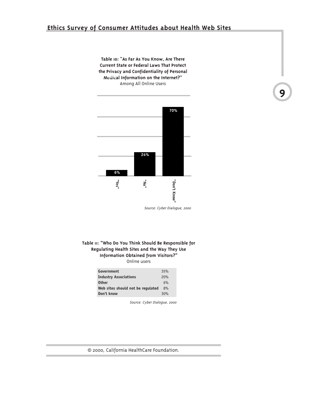# **Ethics Survey of Consumer Attitudes about Health Web Sites**

**Table 10: "As Far As You Know, Are There Current State or Federal Laws That Protect the Privacy and Confidentiality of Personal Medical Information on the Internet?" 88%** Among All Online Users



Source: Cyber Dialogue, 2000

**9**

## **Table 11: "Who Do You Think Should Be Responsible for Regulating Health Sites and the Way They Use Information Obtained from Visitors?"** Online users

| Government                        | 35% |
|-----------------------------------|-----|
| <b>Industry Associations</b>      | 20% |
| <b>Other</b>                      | 6%  |
| Web sites should not be regulated | 8%  |
| Don't know                        | 30% |

Source: Cyber Dialogue, 2000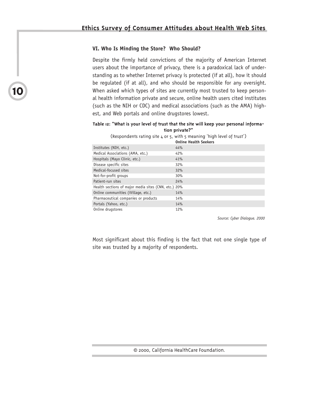## **VI. Who Is Minding the Store? Who Should?**

**10**

Despite the firmly held convictions of the majority of American Internet users about the importance of privacy, there is a paradoxical lack of understanding as to whether Internet privacy is protected (if at all), how it should be regulated (if at all), and who should be responsible for any oversight. When asked which types of sites are currently most trusted to keep personal health information private and secure, online health users cited institutes (such as the NIH or CDC) and medical associations (such as the AMA) highest, and Web portals and online drugstores lowest.

### **Table 12: "What is your level of trust that the site will keep your personal information private?"**

(Respondents rating site 4 or 5, with 5 meaning 'high level of trust')

|                                                      | <b>Online Health Seekers</b> |
|------------------------------------------------------|------------------------------|
| Institutes (NIH, etc.)                               | 44%                          |
| Medical Associations (AMA, etc.)                     | 42%                          |
| Hospitals (Mayo Clinic, etc.)                        | 41%                          |
| Disease specific sites                               | 32%                          |
| Medical-focused sites                                | 32%                          |
| Not-for-profit groups                                | 30%                          |
| Patient-run sites                                    | 24%                          |
| Health sections of major media sites (CNN, etc.) 20% |                              |
| Online communities (iVillage, etc.)                  | 14%                          |
| Pharmaceutical companies or products                 | 14%                          |
| Portals (Yahoo, etc.)                                | 14%                          |
| Online drugstores                                    | 12%                          |

*Source: Cyber Dialogue. 2000*

Most significant about this finding is the fact that not one single type of site was trusted by a majority of respondents.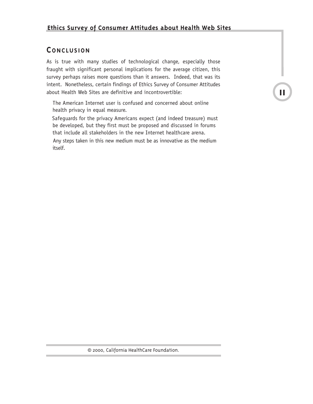# **CONCLUSION**

As is true with many studies of technological change, especially those fraught with significant personal implications for the average citizen, this survey perhaps raises more questions than it answers. Indeed, that was its intent. Nonetheless, certain findings of Ethics Survey of Consumer Attitudes about Health Web Sites are definitive and incontrovertible:

 The American Internet user is confused and concerned about online health privacy in equal measure.

 Safeguards for the privacy Americans expect (and indeed treasure) must be developed, but they first must be proposed and discussed in forums that include all stakeholders in the new Internet healthcare arena.

 Any steps taken in this new medium must be as innovative as the medium itself.